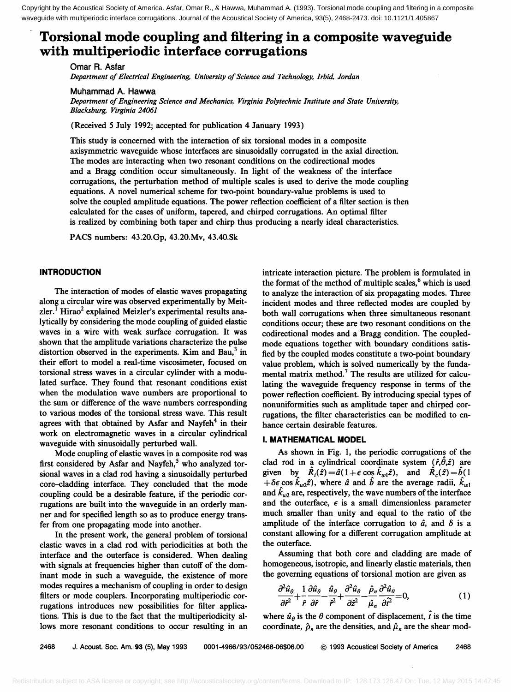Copyright by the Acoustical Society of America. Asfar, Omar R., & Hawwa, Muhammad A. (1993). Torsional mode coupling and filtering in a composite waveguide with multiperiodic interface corrugations. Journal of the Acoustical Society of America, 93(5), 2468-2473. doi: 10.1121/1.405867

# **Torsional mode coupling and filtering in a composite waveguide with multiperiodic interface corrugations**

**Omar R. Asfar Department of Electrical Engineering, University of Science and Technology, Irbid, Jordan** 

**Muhammad A. Hawwa** 

Department of Engineering Science and Mechanics, Virginia Polytechnic Institute and State University, **Blacksburg, Virginia 24061** 

**(Received 5 July 1992; accepted for publication 4 January 1993)** 

**This study is concerned with the interaction of six torsional modes in a composite axisymmetric waveguide whose interfaces are sinusoidally corrugated in the axial direction. The modes are interacting when two resonant conditions on the codirectional modes and a Bragg condition occur simultaneously. In light of the weakness of the interface corrugations, the perturbation method of multiple scales is used to derive the mode coupling equations. A novel numerical scheme for two-point boundary-value problems is used to solve the coupled amplitude equations. The power reflection coefficient of a filter section is then calculated for the cases of uniform, tapered, and chirped corrugations. An optimal filter is realized by combining both taper and chirp thus producing a nearly ideal characteristics.** 

**PACS numbers: 43.20.Gp, 43.20.Mv, 43.40.Sk** 

## **INTRODUCTION**

**The interaction of modes of elastic waves propagating along a circular wire was observed experimentally by Meit**zler.<sup>1</sup> Hirao<sup>2</sup> explained Meizler's experimental results ana**lytically by considering the mode coupling of guided elastic waves in a wire with weak surface corrugation. It was shown that the amplitude variations characterize the pulse**  distortion observed in the experiments. Kim and Bau,<sup>3</sup> in **their effort to model a real-time viscosimeter, focused on torsional stress waves in a circular cylinder with a modulated surface. They found that resonant conditions exist when the modulation wave numbers are proportional to the sum or difference of the wave numbers corresponding to various modes of the torsional stress wave. This result**  agrees with that obtained by Asfar and Nayfeh<sup>4</sup> in their **work on electromagnetic waves in a circular cylindrical waveguide with sinusoidally perturbed wall.** 

**Mode coupling of elastic waves in a composite rod was**  first considered by Asfar and Nayfeh,<sup>5</sup> who analyzed tor**sional waves in a clad rod having a sinusoidally perturbed core-cladding interface. They concluded that the mode coupling could be a desirable feature, if the periodic corrugations are built into the waveguide in an orderly manner and for specified length so as to produce energy transfer from one propagating mode into another.** 

**In the present work, the general problem of torsional elastic waves in a clad rod with periodicities at both the interface and the outerface is considered. When dealing**  with signals at frequencies higher than cutoff of the dom**inant mode in such a waveguide, the existence of more modes requires a mechanism of coupling in order to design filters or mode couplers. Incorporating multiperiodic corrugations introduces new possibilities for filter applications. This is due to the fact that the multiperiodicity allows more resonant conditions to occur resulting in an** 

**intricate interaction picture. The problem is formulated in the format of the method of multiple scales, 6 which is used to analyze the interaction of six propagating modes. Three incident modes and three reflected modes are coupled by both wall corrugations when three simultaneous resonant conditions occur; these are two resonant conditions on the codirectional modes and a Bragg condition. The coupledmode equations together with boundary conditions satisfied by the coupled modes constitute a two-point boundary value problem, which is solved numerically by the fundamental matrix method. 7 The results are utilized for calculating the waveguide frequency response in terms of the power reflection coefficient. By introducing special types of nonuniformities such as amplitude taper and chirped corrugations, the filter characteristics can be modified to enhance certain desirable features.** 

# **I. MATHEMATICAL MODEL**

As shown in Fig. 1, the periodic corrugations of the clad rod in a cylindrical coordinate system  $(\hat{r}, \hat{\theta}, \hat{z})$  are given by  $\hat{R}_i(\hat{z}) = \hat{a}(1 + \epsilon \cos \hat{k}_{w1} \hat{z})$ , and  $\hat{R}_c(\hat{z}) = \hat{b}(1)$ + $\delta \epsilon \cos \hat{k}_{w2} \hat{z}$ , where  $\hat{a}$  and  $\hat{b}$  are the average radii,  $\hat{k}_{w1}$ and  $\hat{k}_{\mu\nu}$  are, respectively, the wave numbers of the interface and the outerface,  $\epsilon$  is a small dimensionless parameter **much smaller than unity and equal to the ratio of the**  amplitude of the interface corrugation to  $\hat{a}$ , and  $\delta$  is a **constant allowing for a different corrugation amplitude at the outerface.** 

**Assuming that both core and cladding are made of homogeneous, isotropic, and linearly elastic materials, then the governing equations of torsional motion are given as** 

$$
\frac{\partial^2 \hat{u}_{\theta}}{\partial \hat{r}^2} + \frac{1}{\hat{r}} \frac{\partial \hat{u}_{\theta}}{\partial \hat{r}} - \frac{\hat{u}_{\theta}}{\hat{r}^2} + \frac{\partial^2 \hat{u}_{\theta}}{\partial \hat{r}^2} - \frac{\hat{\rho}_n}{\hat{\mu}_n} \frac{\partial^2 \hat{u}_{\theta}}{\partial \hat{r}^2} = 0, \tag{1}
$$

where  $\hat{u}_{\theta}$  is the  $\theta$  component of displacement,  $\hat{t}$  is the time coordinate,  $\hat{\rho}_n$  are the densities, and  $\hat{\mu}_n$  are the shear mod-

**2468 J. Acoust. Soc. Am. 93 (5), May 1993 0001-4966/93/052468-06506.00 ¸ 1993 Acoustical Society of America 2468**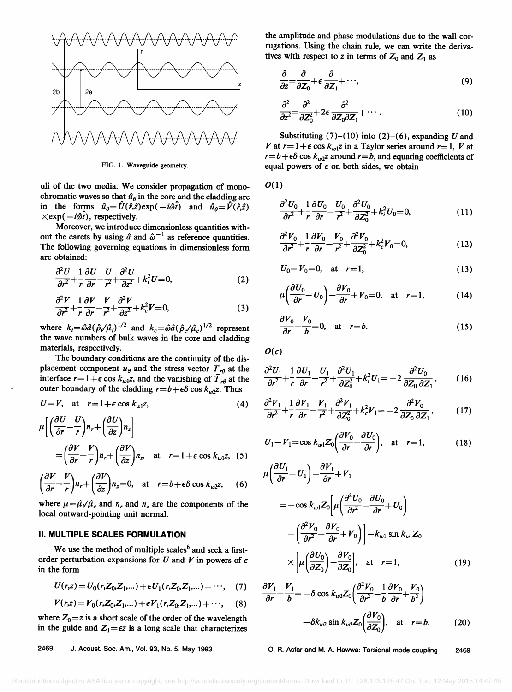

**FIG. 1. Waveguide geometry.** 

**uli of the two media. We consider propagation of mono**chromatic waves so that  $\hat{u}_{\theta}$  in the core and the cladding are in the forms  $\hat{u}_{\theta} = \hat{U}(\hat{r},\hat{z}) \exp(-i\hat{\omega}\hat{t})$  and  $\hat{u}_{\theta} = \hat{V}(\hat{r},\hat{z})$  $\times$ exp( $-i\hat{\omega}\hat{i}$ ), respectively.

**Moreover, we introduce dimensionless quantities with**out the carets by using  $\hat{a}$  and  $\hat{\omega}^{-1}$  as reference quantities. **The following governing equations in dimensionless form are obtained:** 

$$
\frac{\partial^2 U}{\partial r^2} + \frac{1}{r} \frac{\partial U}{\partial r} - \frac{U}{r^2} + \frac{\partial^2 U}{\partial z^2} + k_i^2 U = 0,
$$
\n(2)

$$
\frac{\partial^2 V}{\partial r^2} + \frac{1}{r} \frac{\partial V}{\partial r} - \frac{V}{r^2} + \frac{\partial^2 V}{\partial z^2} + k_c^2 V = 0,
$$
\n(3)

where  $k_i = \hat{\omega} \hat{a} (\hat{\rho}_i/\hat{\mu}_i)^{1/2}$  and  $k_c = \hat{\omega} \hat{a} (\hat{\rho}_c/\hat{\mu}_c)^{1/2}$  represent **the wave numbers of bulk waves in the core and cladding materials, respectively.** 

**The boundary conditions are the continuity of the dis**placement component  $u_{\theta}$  and the stress vector  $\overline{T}_{r\theta}$  at the interface  $r=1+\epsilon \cos k_{w1}z$ , and the vanishing of  $\overline{T}_{r\theta}$  at the outer boundary of the cladding  $r = b + \epsilon \delta \cos k_{\nu/2}z$ . Thus

$$
U=V, \quad \text{at} \quad r=1+\epsilon\cos k_{w1}z, \tag{4}
$$

$$
\mu \left[ \left( \frac{\partial U}{\partial r} - \frac{U}{r} \right) n_r + \left( \frac{\partial U}{\partial z} \right) n_z \right]
$$
  
=  $\left( \frac{\partial V}{\partial r} - \frac{V}{r} \right) n_r + \left( \frac{\partial V}{\partial z} \right) n_z$ , at  $r = 1 + \epsilon \cos k_{w1} z$ , (5)

$$
\left(\frac{\partial V}{\partial r} - \frac{V}{r}\right) n_r + \left(\frac{\partial V}{\partial z}\right) n_z = 0, \quad \text{at} \quad r = b + \epsilon \delta \cos k_{w2} z, \quad (6)
$$

where  $\mu = \frac{\hat{\mu}}{\hat{\mu}} \hat{a}$  and  $n_r$  and  $n_z$  are the components of the **local outward-pointing unit normal.** 

# **II. MULTIPLE SCALES FORMULATION**

We use the method of multiple scales<sup>6</sup> and seek a firstorder perturbation expansions for  $U$  and  $V$  in powers of  $\epsilon$ **in the form** 

$$
U(r,z) = U_0(r, Z_0, Z_1,...) + \epsilon U_1(r, Z_0, Z_1,...) + \cdots,
$$
 (7)

$$
V(r,z) = V_0(r, Z_0, Z_1,...) + \epsilon V_1(r, Z_0, Z_1,...) + \cdots,
$$
 (8)

where  $Z_0 = z$  is a short scale of the order of the wavelength in the guide and  $Z_1 = \epsilon z$  is a long scale that characterizes

**the amplitude and phase modulations due to the wall corrugations. Using the chain rule, we can write the deriva**tives with respect to z in terms of  $Z_0$  and  $Z_1$  as

$$
\frac{\partial}{\partial z} = \frac{\partial}{\partial Z_0} + \epsilon \frac{\partial}{\partial Z_1} + \cdots,\tag{9}
$$

$$
\frac{\partial^2}{\partial z^2} = \frac{\partial^2}{\partial Z_0^2} + 2\epsilon \frac{\partial^2}{\partial Z_0 \partial Z_1} + \cdots \tag{10}
$$

Substituting  $(7)$ – $(10)$  into  $(2)$ – $(6)$ , expanding U and V at  $r=1+\epsilon \cos k_{w1}z$  in a Taylor series around  $r=1$ , V at  $r=b+\epsilon\delta \cos k_{w2}z$  around  $r=b$ , and equating coefficients of **equal powers of e on both sides, we obtain** 

**o(1)** 

$$
\frac{\partial^2 U_0}{\partial r^2} + \frac{1}{r} \frac{\partial U_0}{\partial r} - \frac{U_0}{r^2} + \frac{\partial^2 U_0}{\partial Z_0^2} + k_i^2 U_0 = 0, \tag{11}
$$

$$
\frac{\partial^2 V_0}{\partial r^2} + \frac{1}{r} \frac{\partial V_0}{\partial r} - \frac{V_0}{r^2} + \frac{\partial^2 V_0}{\partial Z_0^2} + k_c^2 V_0 = 0, \tag{12}
$$

$$
U_0 - V_0 = 0, \quad \text{at} \quad r = 1,
$$
 (13)

$$
\mu \left( \frac{\partial U_0}{\partial r} - U_0 \right) - \frac{\partial V_0}{\partial r} + V_0 = 0, \text{ at } r = 1,
$$
 (14)

$$
\frac{\partial V_0}{\partial r} - \frac{V_0}{b} = 0, \quad \text{at} \quad r = b. \tag{15}
$$

 $O(\epsilon)$ 

$$
\frac{\partial^2 U_1}{\partial r^2} + \frac{1}{r} \frac{\partial U_1}{\partial r} - \frac{U_1}{r^2} + \frac{\partial^2 U_1}{\partial Z_0^2} + k_i^2 U_1 = -2 \frac{\partial^2 U_0}{\partial Z_0 \partial Z_1},
$$
 (16)

$$
\frac{\partial^2 V_1}{\partial r^2} + \frac{1}{r} \frac{\partial V_1}{\partial r} - \frac{V_1}{r^2} + \frac{\partial^2 V_1}{\partial Z_0^2} + k_c^2 V_1 = -2 \frac{\partial^2 V_0}{\partial Z_0 \partial Z_1},\qquad(17)
$$

$$
U_1 - V_1 = \cos k_{w1} Z_0 \left( \frac{\partial V_0}{\partial r} - \frac{\partial U_0}{\partial r} \right), \quad \text{at} \quad r = 1,
$$
 (18)

$$
\mu \left( \frac{\partial U_1}{\partial r} - U_1 \right) - \frac{\partial V_1}{\partial r} + V_1
$$
\n
$$
= -\cos k_{w1} Z_0 \left[ \mu \left( \frac{\partial^2 U_0}{\partial r^2} - \frac{\partial U_0}{\partial r} + U_0 \right) \right]
$$
\n
$$
- \left( \frac{\partial^2 V_0}{\partial r^2} - \frac{\partial V_0}{\partial r} + V_0 \right) \right] - k_{w1} \sin k_{w1} Z_0
$$
\n
$$
\times \left[ \mu \left( \frac{\partial U_0}{\partial Z_0} \right) - \frac{\partial V_0}{\partial Z_0} \right], \text{ at } r = 1,
$$
\n(19)

$$
\frac{\partial V_1}{\partial r} - \frac{V_1}{b} = -\delta \cos k_{w2} Z_0 \left( \frac{\partial^2 V_0}{\partial r^2} - \frac{1}{b} \frac{\partial V_0}{\partial r} + \frac{V_0}{b^2} \right)
$$

$$
- \delta k_{w2} \sin k_{w2} Z_0 \left( \frac{\partial V_0}{\partial Z_0} \right), \text{ at } r = b. \tag{20}
$$

**2469 J. Acoust. Soc. Am., Vol. 93, No. 5, May 1993 O.R. Asfar and M. A. Hawwa: Torsional mode coupling 2469**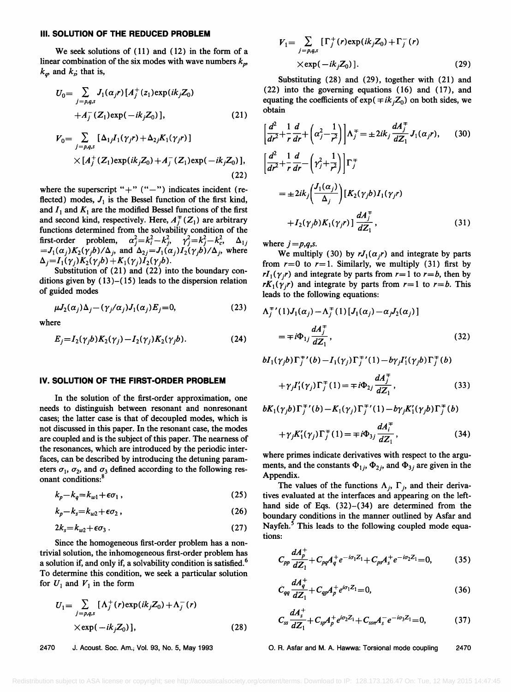#### **III. SOLUTION OF THE REDUCED PROBLEM**

**We seek solutions of ( 11 ) and (12) in the form of a**  linear combination of the six modes with wave numbers  $k_{p}$ ,  $k_q$ , and  $k_s$ ; that is,

$$
U_0 = \sum_{j=p,q,s} J_1(\alpha_j r) [A_j^+(z_1) \exp(ik_j Z_0) + A_j^-(Z_1) \exp(-ik_j Z_0)],
$$
 (21)

$$
V_0 = \sum_{j=p,q,s} [\Delta_{1j}I_1(\gamma_j r) + \Delta_{2j}K_1(\gamma_j r)]
$$
  
 
$$
\times [A_j^+(Z_1) \exp(ik_j Z_0) + A_j^-(Z_1) \exp(-ik_j Z_0)],
$$
  
(22)

where the superscript "+" ("-") indicates incident (reflected) modes,  $J_1$  is the Bessel function of the first kind, and  $I_1$  and  $K_1$  are the modified Bessel functions of the first and second kind, respectively. Here,  $A_i^{\dagger}(Z_1)$  are arbitrary functions determined from the solvability condition of the first-order problem,  $\alpha_j^2 = k_i^2 - k_j^2$ ,  $\gamma_j^2 = k_j^2 - k_c^2$ ,  $\Delta_{1j}$ **first-order problem,**  $\alpha_j^2 = k_i^2 - k_j^2$ ,  $\gamma_j^2 = k_j^2 - k_c^2$ ,  $\Delta_{1j}$  $=J_1(\alpha_j)K_2(\gamma_jb)/\Delta_j$ , and  $\Delta_{2j}=J_1(\alpha_j)I_2(\gamma_jb)/\Delta_j$ , where  $\Delta_i = I_1(\gamma_i)K_2(\gamma_ib) + K_1(\gamma_i)I_2(\gamma_ib).$ 

Substitution of (21) and (22) into the boundary con**ditions given by ( 13 )-(15) leads to the dispersion relation of guided modes** 

$$
\mu J_2(\alpha_j) \Delta_j - (\gamma_j/\alpha_j) J_1(\alpha_j) E_j = 0, \qquad (23)
$$

**where** 

$$
E_j = I_2(\gamma_j b) K_2(\gamma_j) - I_2(\gamma_j) K_2(\gamma_j b). \tag{24}
$$

### **IV. SOLUTION OF THE FIRST-ORDER PROBLEM**

**In the solution of the first-order approximation, one needs to distinguish between resonant and nonresonant cases; the latter case is that of decoupled modes, which is not discussed in this paper. In the resonant case, the modes are coupled and is the subject of this paper. The nearness of the resonances, which are introduced by the periodic interfaces, can be described by introducing the detuning param**eters  $\sigma_1$ ,  $\sigma_2$ , and  $\sigma_3$  defined according to the following res**onant conditions: 8**

$$
k_p - k_q = k_{w1} + \epsilon \sigma_1 \,, \tag{25}
$$

 $k_n - k_s = k_{w2} + \epsilon \sigma_2$ , (26)

$$
2k_s = k_{w2} + \epsilon \sigma_3 \,. \tag{27}
$$

**Since the homogeneous first-order problem has a nontrivial solution, the inhomogeneous first-order problem has a solution if, and only if, a solvability condition issatisfied. 6 To determine this condition, we seek a particular solution**  for  $U_1$  and  $V_1$  in the form

$$
U_1 = \sum_{j=p,q,s} [\Lambda_j^+(r) \exp(ik_j Z_0) + \Lambda_j^-(r)
$$
  
× $\exp(-ik_j Z_0)$ ], (28)

$$
V_1 = \sum_{j=p,q,s} [\Gamma_j^+(r) \exp(ik_j Z_0) + \Gamma_j^-(r)
$$
  
× $\exp(-ik_j Z_0)$ ]. (29)

Substituting (28) and (29), together with (21) and **(22) into the governing equations (16) and (17), and**  equating the coefficients of  $exp(+ik<sub>i</sub>Z<sub>0</sub>)$  on both sides, we **obtain** 

$$
\left[\frac{d^2}{dr^2} + \frac{1}{r}\frac{d}{dr} + \left(\alpha_j^2 - \frac{1}{r^2}\right)\right] \Lambda_j^{\pm} = \pm 2ik_j \frac{dA_j^{\pm}}{dZ_1} J_1(\alpha_j r), \qquad (30)
$$
  

$$
\left[\frac{d^2}{dr^2} + \frac{1}{r}\frac{d}{dr} - \left(\gamma_j^2 + \frac{1}{r^2}\right)\right] \Gamma_j^{\pm}
$$
  

$$
= \pm 2ik_j \left(\frac{J_1(\alpha_j)}{\Delta_j}\right) \left[K_2(\gamma_j b) I_1(\gamma_j r)\right]
$$
  

$$
+ I_2(\gamma_j b) K_1(\gamma_j r) \left[\frac{dA_j^{\pm}}{dZ_1}, \qquad (31)
$$

where  $j = p,q,s$ .

We multiply (30) by  $rJ_1(\alpha,r)$  and integrate by parts from  $r=0$  to  $r=1$ . Similarly, we multiply (31) first by  $rI_1(\gamma_i r)$  and integrate by parts from  $r=1$  to  $r=b$ , then by  $rK_1(\gamma_i r)$  and integrate by parts from  $r=1$  to  $r=b$ . This **leads to the following equations:** 

$$
\Lambda_j^{+'}(1)J_1(\alpha_j) - \Lambda_j^{+}(1)[J_1(\alpha_j) - \alpha_j J_2(\alpha_j)]
$$
  
=  $\mp i\Phi_{1j} \frac{dA_j^{+}}{dZ_1}$ , (32)

 $bI_1(\gamma_j b)\Gamma^{\mp\,\prime}_j(b) - I_1(\gamma_j)\Gamma^{\mp\,\prime}_j(1) - b\gamma_j I_1'(\gamma_j b)\Gamma^{\mp}_j(b)$ 

$$
+\gamma_j I_1'(\gamma_j) \Gamma_j^{\mp}(1) = \mp i \Phi_{2j} \frac{dA_j^{\pm}}{dZ_1},\qquad(33)
$$

$$
bK_1(\gamma_j b)\Gamma_j^{\dagger'}(b) - K_1(\gamma_j)\Gamma_j^{\dagger'}(1) - b\gamma_j K_1'(\gamma_j b)\Gamma_j^{\dagger}(b)
$$
  
+
$$
\gamma_j K_1'(\gamma_j)\Gamma_j^{\dagger}(1) = \mp i\Phi_{3j} \frac{dA_i^{\dagger}}{dZ_1},
$$
 (34)

**where primes indicate derivatives with respect to the argu**ments, and the constants  $\Phi_{1j}$ ,  $\Phi_{2j}$ , and  $\Phi_{3j}$  are given in the **Appendix.** 

The values of the functions  $\Lambda_i$ ,  $\Gamma_i$ , and their deriva**tives evaluated at the interfaces and appearing on the lefthand side of Eqs. (32)-(34) are determined from the boundary conditions in the manner outlined by Asfar and**  Nayfeh.<sup>5</sup> This leads to the following coupled mode equa**tions:** 

$$
C_{pp}\frac{dA_p^+}{dZ_1} + C_{pq}A_q^+e^{-i\sigma_1 Z_1} + C_{ps}A_s^+e^{-i\sigma_2 Z_1} = 0, \qquad (35)
$$

$$
C_{qq}\frac{dA_q^+}{dZ_1} + C_{qp}A_p^+e^{i\sigma_1 Z_1} = 0,
$$
\t(36)

$$
C_{ss}\frac{dA_s^+}{dZ_1}+C_{sp}A_p^+e^{i\sigma_2Z_1}+C_{ssn}A_s^-e^{-i\sigma_3Z_1}=0,\qquad\qquad (37)
$$

#### **2470** O. R. Asfar and M. A. Hawwa: Torsional mode coupling 2470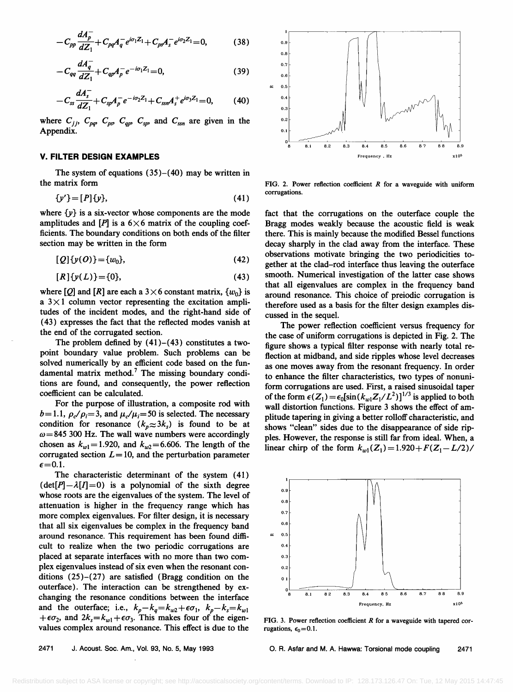$$
-C_{pp}\frac{dA_p^-}{dZ_1} + C_{pq}A_q^-e^{i\sigma_1Z_1} + C_{ps}A_s^-e^{i\sigma_2Z_1} = 0,
$$
 (38)

$$
-C_{qq}\frac{dA_q^-}{dZ_1} + C_{qp}A_p^- e^{-i\sigma_1 Z_1} = 0, \qquad (39)
$$

$$
-C_{ss}\frac{dA_s^-}{dZ_1}+C_{sp}A_p^-e^{-i\sigma_2Z_1}+C_{ssn}A_s^+e^{i\sigma_3Z_1}=0,\qquad(40)
$$

where  $C_{jj}$ ,  $C_{pq}$ ,  $C_{qs}$ ,  $C_{qp}$ ,  $C_{sp}$ , and  $C_{ssn}$  are given in the **Appendix.** 

#### **V. FILTER DESIGN EXAMPLES**

**The system of equations (35)-(40) may be written in the matrix form** 

$$
\{y'\} = [P]\{y\},\tag{41}
$$

where  $\{y\}$  is a six-vector whose components are the mode amplitudes and  $[P]$  is a  $6 \times 6$  matrix of the coupling coef**ficients. The boundary conditions on both ends of the filter section may be written in the form** 

$$
[Q] \{y(O)\} = \{w_0\},\tag{42}
$$

$$
[R]\{y(L)\} = \{0\},\tag{43}
$$

where  $[Q]$  and  $[R]$  are each a  $3 \times 6$  constant matrix,  $\{w_0\}$  is a  $3 \times 1$  column vector representing the excitation ampli**tudes of the incident modes, and the fight-hand side of (43) expresses the fact that the reflected modes vanish at the end of the corrugated section.** 

**The problem defined by (41)-(43) constitutes a twopoint boundary value problem. Such problems can be solved numerically by an efficient code based on the fun**damental matrix method.<sup>7</sup> The missing boundary condi**tions are found, and consequently, the power reflection coefficient can be calculated.** 

**For the purpose of illustration, a composite rod with**   $b=1.1$ ,  $\rho_c/\rho_i=3$ , and  $\mu_c/\mu_i=50$  is selected. The necessary condition for resonance  $(k_p \approx 3k_s)$  is found to be at **co=845 300 Hz. The wall wave numbers were accordingly**  chosen as  $k_{w1}$  = 1.920, and  $k_{w2}$  = 6.606. The length of the corrugated section  $L = 10$ , and the perturbation parameter  $\epsilon$ =0.1.

**The characteristic determinant of the system (41)**   $(\det[P]-\lambda[I]=0)$  is a polynomial of the sixth degree **whose roots are the eigenvalues of the system. The level of attenuation is higher in the frequency range which has more complex eigenvalues. For filter design, it is necessary that all six eigenvalues be complex in the frequency band around resonance. This requirement has been found diffi**cult to realize when the two periodic corrugations are **placed at separate interfaces with no more than two complex eigenvalues instead of six even when the resonant conditions (25)-(27) are satisfied (Bragg condition on the outerface). The interaction can be strengthened by exchanging the resonance conditions between the interface**  and the outerface; i.e.,  $k_p - k_q = k_{w2} + \epsilon \sigma_1$ ,  $k_p - k_s = k_{w1}$  $+\epsilon \sigma_2$ , and  $2k_s = k_{w1} + \epsilon \sigma_3$ . This makes four of the eigen**values complex around resonance. This effect is due to the** 



**FIG. 2. Power reflection coefficient R for a waveguide with uniform corrugations.** 

**fact that the corrugations on the outerface couple the Bragg modes weakly because the acoustic field is weak there. This is mainly because the modified Bessel functions decay sharply in the clad away from the interface. These observations motivate bringing the two periodicities together at the clad-rod interface thus leaving the outerface smooth. Numerical investigation of the latter case shows that all eigenvalues are complex in the frequency band around resonance. This choice of preiodic corrugation is therefore used as a basis for the filter design examples discussed in the sequel.** 

**The power reflection coefficient versus frequency for the case of uniform corrugations is depicted in Fig. 2. The figure shows a typical filter response with nearly total reflection at midband, and side ripples whose level decreases as one moves away from the resonant frequency. In order to enhance the filter characteristics, two types of nonuniform corrugations are used. First, a raised sinusoidal taper**  of the form  $\epsilon(Z_1) = \epsilon_0[\sin(k_{w1}Z_1/L^2)]^{1/3}$  is applied to both **wall distortion functions. Figure 3 shows the effect of amplitude tapering in giving a better rolloff characteristic, and shows "clean" sides due to the disappearance of side rippies. However, the response is still far from ideal. When, a**  linear chirp of the form  $k_{w1}(Z_1) = 1.920 + F(Z_1 - L/2)$ /



**FIG. 3. Power reflection coefficient R for a waveguide with tapered cor**rugations,  $\epsilon_0$  = 0.1.

**2471 J. Acoust. Soc. Am., Vol. 93, No. 5, May 1993 O.R. Asfar and M. A. Hawwa: Torsional mode coupling 2471**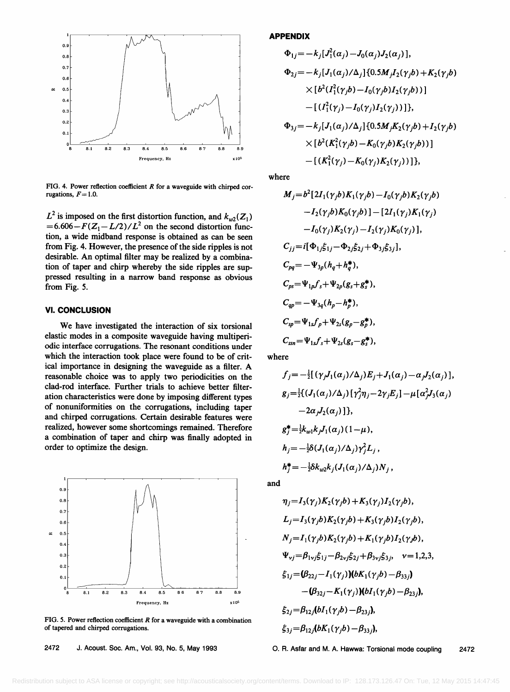

FIG. 4. Power reflection coefficient R for a waveguide with chirped corrugations,  $F = 1.0$ .

 $L^2$  is imposed on the first distortion function, and  $k_{w2}(Z_1)$  $=6.606 - F(Z_1 - L/2)/L^2$  on the second distortion func**tion, a wide midband response is obtained as can be seen from Fig. 4. However, the presence of the side ripples is not desirable. An optimal filter may be realized by a combination of taper and chirp whereby the side ripples are suppressed resulting in a narrow band response as obvious from Fig. 5.** 

# **VI. CONCLUSION**

**We have investigated the interaction of six torsional elastic modes in a composite waveguide having multiperiodic interface corrugations. The resonant conditions under which the interaction took place were found to be of critical importance in designing the waveguide as a filter. A reasonable choice was to apply two periodicities on the clad-rod interface. Further trials to achieve better filter**ation characteristics were done by imposing different types **of nonuniformities on the corrugations, including taper and chirped corrugations. Certain desirable features were realized, however some shortcomings remained. Therefore a combination of taper and chirp was finally adopted in order to optimize the design.** 



**FIG. 5. Power reflection coefficient R for a waveguide with a combination of tapered and chirped corrugations.** 

**APPENDIX** 

$$
\Phi_{1j} = -k_j [J_1^2(\alpha_j) - J_0(\alpha_j) J_2(\alpha_j)],
$$
  
\n
$$
\Phi_{2j} = -k_j [J_1(\alpha_j)/\Delta_j] \{0.5 M_j I_2(\gamma_j b) + K_2(\gamma_j b) \times [b^2 (I_1^2(\gamma_j b) - I_0(\gamma_j b) I_2(\gamma_j b))]
$$
  
\n
$$
- [(I_1^2(\gamma_j) - I_0(\gamma_j) I_2(\gamma_j)) ]\},
$$
  
\n
$$
\Phi_{3j} = -k_j [J_1(\alpha_j)/\Delta_j] \{0.5 M_j K_2(\gamma_j b) + I_2(\gamma_j b) \times [b^2 (K_1^2(\gamma_j b) - K_0(\gamma_j b) K_2(\gamma_j b))]
$$
  
\n
$$
- [(K_1^2(\gamma_j) - K_0(\gamma_j) K_2(\gamma_j)) ]\},
$$

**where** 

$$
M_{j} = b^{2} [2I_{1}(\gamma_{j}b)K_{1}(\gamma_{j}b) - I_{0}(\gamma_{j}b)K_{2}(\gamma_{j}b)
$$
  
\n
$$
-I_{2}(\gamma_{j}b)K_{0}(\gamma_{j}b)] - [2I_{1}(\gamma_{j})K_{1}(\gamma_{j})
$$
  
\n
$$
-I_{0}(\gamma_{j})K_{2}(\gamma_{j}) - I_{2}(\gamma_{j})K_{0}(\gamma_{j})],
$$
  
\n
$$
C_{jj} = i[\Phi_{1j}\xi_{1j} - \Phi_{2j}\xi_{2j} + \Phi_{3j}\xi_{3j}],
$$
  
\n
$$
C_{pq} = -\Psi_{3p}(h_{q} + h_{q}^{*}),
$$
  
\n
$$
C_{ps} = \Psi_{1p}f_{s} + \Psi_{2p}(g_{s} + g_{s}^{*}),
$$
  
\n
$$
C_{qp} = -\Psi_{3q}(h_{p} - h_{p}^{*}),
$$
  
\n
$$
C_{sp} = \Psi_{1s}f_{p} + \Psi_{2s}(g_{p} - g_{p}^{*}),
$$
  
\n
$$
C_{ssn} = \Psi_{1s}f_{s} + \Psi_{2s}(g_{s} - g_{s}^{*}),
$$

**where** 

$$
f_j = -\frac{1}{2} [(\gamma_j J_1(\alpha_j)/\Delta_j) E_j + J_1(\alpha_j) - \alpha_j J_2(\alpha_j)],
$$
  
\n
$$
g_j = \frac{1}{2} \{ (J_1(\alpha_j)/\Delta_j) [\gamma_j^2 \eta_j - 2 \gamma_j E_j] - \mu [\alpha_j^2 J_3(\alpha_j) -2 \alpha_j J_2(\alpha_j)] \},
$$
  
\n
$$
g_j^* = \frac{1}{2} k_{w1} k_j J_1(\alpha_j) (1 - \mu),
$$
  
\n
$$
h_j = -\frac{1}{2} \delta (J_1(\alpha_j)/\Delta_j) \gamma_j^2 L_j,
$$
  
\n
$$
h_j^* = -\frac{1}{2} \delta k_{w2} k_j (J_1(\alpha_j)/\Delta_j) N_j,
$$

**and** 

$$
\eta_j = I_3(\gamma_j) K_2(\gamma_j b) + K_3(\gamma_j) I_2(\gamma_j b),
$$
  
\n
$$
L_j = I_3(\gamma_j b) K_2(\gamma_j b) + K_3(\gamma_j b) I_2(\gamma_j b),
$$
  
\n
$$
N_j = I_1(\gamma_j b) K_2(\gamma_j b) + K_1(\gamma_j b) I_2(\gamma_j b),
$$
  
\n
$$
\Psi_{vj} = \beta_{1vj} \xi_{1j} - \beta_{2vj} \xi_{2j} + \beta_{3vj} \xi_{3j}, \quad v = 1, 2, 3,
$$
  
\n
$$
\xi_{1j} = (\beta_{22j} - I_1(\gamma_j)) (\mathbf{b} K_1(\gamma_j b) - \beta_{33j}) - (\beta_{32j} - K_1(\gamma_j)) (\mathbf{b} I_1(\gamma_j b) - \beta_{23j}),
$$
  
\n
$$
\xi_{2j} = \beta_{12j} (\mathbf{b} I_1(\gamma_j b) - \beta_{23j}),
$$
  
\n
$$
\xi_{3j} = \beta_{12j} (\mathbf{b} K_1(\gamma_j b) - \beta_{33j}),
$$

**2472 d. Acoust. Soc. Am., Vol. 93, No. 5, May 1993 O.R. Asfar and M. A. Hawwa: Torsional mode coupling 2472**